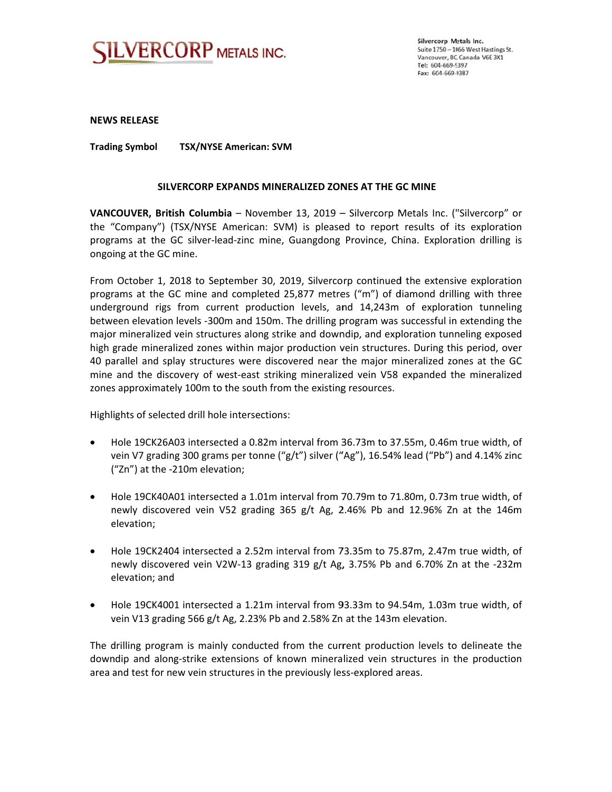

Silvercorp Metals Inc. Suite 1750 - 1066 West Hastings St. Vancouver, BC, Canada V6E 3X1 Tel: 604-669-9397 Fax: 604-669-9387

**NEWS S RELEASE** 

**Tradin ng Symbol TSX/NYSE A American: SVM**

# TSX/NYSE American: SVM<br>SILVERCORP EXPANDS MINERALIZED ZONES AT THE GC MINE

VANCOUVER, British Columbia - November 13, 2019 - Silvercorp Metals Inc. ("Silvercorp" or the "Company") (TSX/NYSE American: SVM) is pleased to report results of its exploration programs at the GC silver-lead-zinc mine, Guangdong Province, China. Exploration drilling is ongoi ing at the GC mine.

From October 1, 2018 to September 30, 2019, Silvercorp continued the extensive exploration programs at the GC mine and completed 25,877 metres ("m") of diamond drilling with three underground rigs from current production levels, and 14,243m of exploration tunneling between elevation levels -300m and 150m. The drilling program was successful in extending the major mineralized vein structures along strike and downdip, and exploration tunneling exposed high grade mineralized zones within major production vein structures. During this period, over 40 parallel and splay structures were discovered near the major mineralized zones at the GC mine and the discovery of west-east striking mineralized vein V58 expanded the mineralized zones approximately 100m to the south from the existing resources.

Highlights of selected drill hole intersections:

- Hole 19CK26A03 intersected a 0.82m interval from 36.73m to 37.55m, 0.46m true width, of vein V7 grading 300 grams per tonne ("g/t") silver ("Ag"), 16.54% lead ("Pb") and 4.14% zinc ("Zn") at the -210m elevation;
- Hole 19CK40A01 intersected a 1.01m interval from 70.79m to 71.80m, 0.73m true width, of newly discovered vein V52 grading 365 g/t Ag, 2.46% Pb and 12.96% Zn at the 146m<br>elevation;<br>Hole 19CK2404 intersected a 2.52m interval from 73.35m to 75.87m, 2.47m true width, of e elevation;
- Hole 19CK2404 intersected a 2.52m interval from 73.35m to 75.87m, 2.47m true width, o newly discovered vein V2W-13 grading 319 g/t Ag, 3.75% Pb and 6.70% Zn at the -232m e elevation; and
- elevation; and<br>• Hole 19CK4001 intersected a 1.21m interval from 93.33m to 94.54m, 1.03m true width, of vein V13 grading 566 g/t Ag, 2.23% Pb and 2.58% Zn at the 143m elevation.

The drilling program is mainly conducted from the current production levels to delineate the downdip and along-strike extensions of known mineralized vein structures in the production area and test for new vein structures in the previously less-explored areas.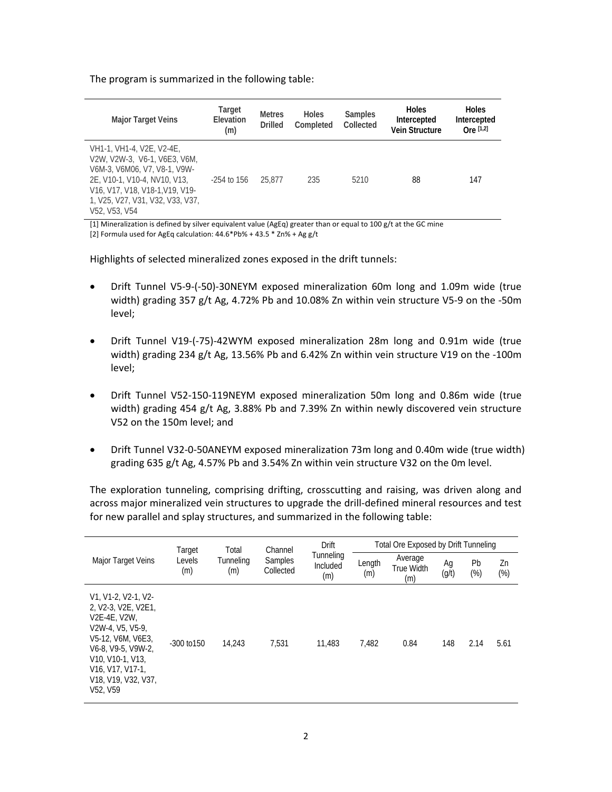The program is summarized in the following table:

| Major Target Veins                                                                                                                                                                                                                                                                              | Target<br>Elevation<br>(m) | <b>Metres</b><br><b>Drilled</b> | <b>Holes</b><br>Completed | Samples<br>Collected | <b>Holes</b><br>Intercepted<br><b>Vein Structure</b> | <b>Holes</b><br>Intercepted<br>Ore <sup>[1,2]</sup> |
|-------------------------------------------------------------------------------------------------------------------------------------------------------------------------------------------------------------------------------------------------------------------------------------------------|----------------------------|---------------------------------|---------------------------|----------------------|------------------------------------------------------|-----------------------------------------------------|
| VH1-1, VH1-4, V2E, V2-4E,<br>V2W, V2W-3, V6-1, V6E3, V6M,<br>V6M-3, V6M06, V7, V8-1, V9W-<br>2E, V10-1, V10-4, NV10, V13,<br>V <sub>16</sub> , V <sub>17</sub> , V <sub>18</sub> , V <sub>18</sub> -1, V <sub>19</sub> , V <sub>19</sub> -<br>1, V25, V27, V31, V32, V33, V37,<br>V52, V53, V54 | $-254$ to 156              | 25.877                          | 235                       | 5210                 | 88                                                   | 147                                                 |

[1] Mineralization is defined by silver equivalent value (AgEq) greater than or equal to 100 g/t at the GC mine [2] Formula used for AgEq calculation: 44.6\*Pb% + 43.5 \* Zn% + Ag g/t

Highlights of selected mineralized zones exposed in the drift tunnels:

- Drift Tunnel V5-9-(-50)-30NEYM exposed mineralization 60m long and 1.09m wide (true width) grading 357 g/t Ag, 4.72% Pb and 10.08% Zn within vein structure V5-9 on the -50m level;
- Drift Tunnel V19‐(‐75)‐42WYM exposed mineralization 28m long and 0.91m wide (true width) grading 234 g/t Ag, 13.56% Pb and 6.42% Zn within vein structure V19 on the ‐100m level;
- Drift Tunnel V52-150-119NEYM exposed mineralization 50m long and 0.86m wide (true width) grading 454 g/t Ag, 3.88% Pb and 7.39% Zn within newly discovered vein structure V52 on the 150m level; and
- Drift Tunnel V32-0-50ANEYM exposed mineralization 73m long and 0.40m wide (true width) grading 635 g/t Ag, 4.57% Pb and 3.54% Zn within vein structure V32 on the 0m level.

The exploration tunneling, comprising drifting, crosscutting and raising, was driven along and across major mineralized vein structures to upgrade the drill‐defined mineral resources and test for new parallel and splay structures, and summarized in the following table:

| Target<br>Major Target Veins<br>Levels<br>(m)                                                                                                                                                                                                                                                               |                  | Total                | Channel                      | Drift         | <b>Total Ore Exposed by Drift Tunneling</b> |             |              |              |      |
|-------------------------------------------------------------------------------------------------------------------------------------------------------------------------------------------------------------------------------------------------------------------------------------------------------------|------------------|----------------------|------------------------------|---------------|---------------------------------------------|-------------|--------------|--------------|------|
|                                                                                                                                                                                                                                                                                                             | Tunneling<br>(m) | Samples<br>Collected | Tunneling<br>Included<br>(m) | Length<br>(m) | Average<br><b>True Width</b><br>(m)         | Ag<br>(g/t) | Pb<br>$(\%)$ | Zn<br>$(\%)$ |      |
| V1, V1-2, V2-1, V2-<br>2, V2-3, V2E, V2E1,<br>V2E-4E, V2W,<br>V2W-4, V5, V5-9,<br>V5-12, V6M, V6E3,<br>V6-8, V9-5, V9W-2,<br>V <sub>10</sub> , V <sub>10</sub> -1, V <sub>13</sub> ,<br>V <sub>16</sub> , V <sub>17</sub> , V <sub>17</sub> -1,<br>V18, V19, V32, V37,<br>V <sub>52</sub> , V <sub>59</sub> | $-300$ to $150$  | 14.243               | 7,531                        | 11,483        | 7,482                                       | 0.84        | 148          | 2.14         | 5.61 |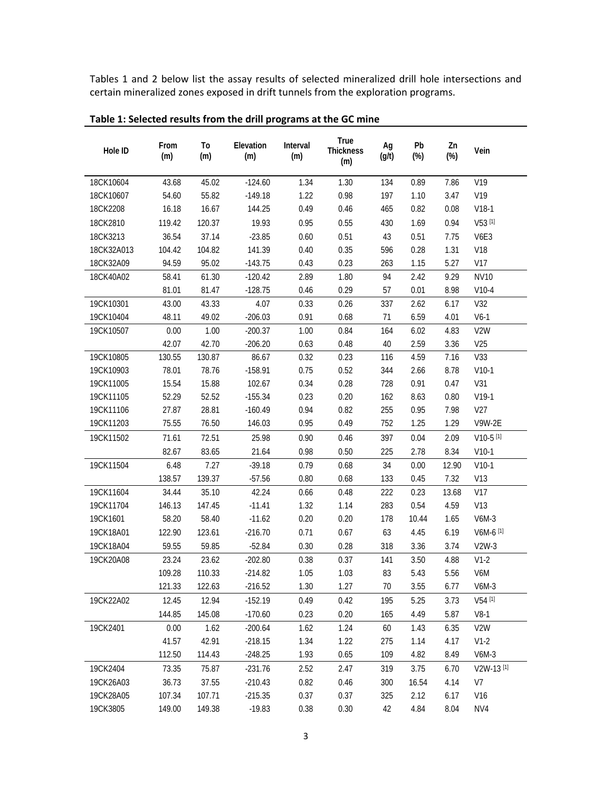Tables 1 and 2 below list the assay results of selected mineralized drill hole intersections and certain mineralized zones exposed in drift tunnels from the exploration programs.

| Hole ID    | From<br>(m) | To<br>(m) | Elevation<br>(m) | Interval<br>(m) | True<br><b>Thickness</b><br>(m) | Ag<br>(g/t) | Pb<br>$(\%)$ | Zn<br>$(\%)$ | Vein                   |
|------------|-------------|-----------|------------------|-----------------|---------------------------------|-------------|--------------|--------------|------------------------|
| 18CK10604  | 43.68       | 45.02     | $-124.60$        | 1.34            | 1.30                            | 134         | 0.89         | 7.86         | V19                    |
| 18CK10607  | 54.60       | 55.82     | $-149.18$        | 1.22            | 0.98                            | 197         | 1.10         | 3.47         | V19                    |
| 18CK2208   | 16.18       | 16.67     | 144.25           | 0.49            | 0.46                            | 465         | 0.82         | 0.08         | $V18-1$                |
| 18CK2810   | 119.42      | 120.37    | 19.93            | 0.95            | 0.55                            | 430         | 1.69         | 0.94         | V53[1]                 |
| 18CK3213   | 36.54       | 37.14     | $-23.85$         | 0.60            | 0.51                            | 43          | 0.51         | 7.75         | V6E3                   |
| 18CK32A013 | 104.42      | 104.82    | 141.39           | 0.40            | 0.35                            | 596         | 0.28         | 1.31         | V18                    |
| 18CK32A09  | 94.59       | 95.02     | $-143.75$        | 0.43            | 0.23                            | 263         | 1.15         | 5.27         | V17                    |
| 18CK40A02  | 58.41       | 61.30     | $-120.42$        | 2.89            | 1.80                            | 94          | 2.42         | 9.29         | <b>NV10</b>            |
|            | 81.01       | 81.47     | $-128.75$        | 0.46            | 0.29                            | 57          | 0.01         | 8.98         | $V10-4$                |
| 19CK10301  | 43.00       | 43.33     | 4.07             | 0.33            | 0.26                            | 337         | 2.62         | 6.17         | V32                    |
| 19CK10404  | 48.11       | 49.02     | $-206.03$        | 0.91            | 0.68                            | 71          | 6.59         | 4.01         | $V6-1$                 |
| 19CK10507  | 0.00        | 1.00      | $-200.37$        | 1.00            | 0.84                            | 164         | 6.02         | 4.83         | V <sub>2</sub> W       |
|            | 42.07       | 42.70     | $-206.20$        | 0.63            | 0.48                            | 40          | 2.59         | 3.36         | V <sub>25</sub>        |
| 19CK10805  | 130.55      | 130.87    | 86.67            | 0.32            | 0.23                            | 116         | 4.59         | 7.16         | V33                    |
| 19CK10903  | 78.01       | 78.76     | $-158.91$        | 0.75            | 0.52                            | 344         | 2.66         | 8.78         | $V10-1$                |
| 19CK11005  | 15.54       | 15.88     | 102.67           | 0.34            | 0.28                            | 728         | 0.91         | 0.47         | V31                    |
| 19CK11105  | 52.29       | 52.52     | $-155.34$        | 0.23            | 0.20                            | 162         | 8.63         | 0.80         | $V19-1$                |
| 19CK11106  | 27.87       | 28.81     | $-160.49$        | 0.94            | 0.82                            | 255         | 0.95         | 7.98         | V27                    |
| 19CK11203  | 75.55       | 76.50     | 146.03           | 0.95            | 0.49                            | 752         | 1.25         | 1.29         | <b>V9W-2E</b>          |
| 19CK11502  | 71.61       | 72.51     | 25.98            | 0.90            | 0.46                            | 397         | 0.04         | 2.09         | $V10-5$ <sup>[1]</sup> |
|            | 82.67       | 83.65     | 21.64            | 0.98            | 0.50                            | 225         | 2.78         | 8.34         | $V10-1$                |
| 19CK11504  | 6.48        | 7.27      | $-39.18$         | 0.79            | 0.68                            | 34          | 0.00         | 12.90        | $V10-1$                |
|            | 138.57      | 139.37    | $-57.56$         | 0.80            | 0.68                            | 133         | 0.45         | 7.32         | V13                    |
| 19CK11604  | 34.44       | 35.10     | 42.24            | 0.66            | 0.48                            | 222         | 0.23         | 13.68        | V17                    |
| 19CK11704  | 146.13      | 147.45    | $-11.41$         | 1.32            | 1.14                            | 283         | 0.54         | 4.59         | V13                    |
| 19CK1601   | 58.20       | 58.40     | $-11.62$         | 0.20            | 0.20                            | 178         | 10.44        | 1.65         | $V6M-3$                |
| 19CK18A01  | 122.90      | 123.61    | $-216.70$        | 0.71            | 0.67                            | 63          | 4.45         | 6.19         | V6M-6 <sup>[1]</sup>   |
| 19CK18A04  | 59.55       | 59.85     | $-52.84$         | 0.30            | 0.28                            | 318         | 3.36         | 3.74         | $V2W-3$                |
| 19CK20A08  | 23.24       | 23.62     | $-202.80$        | 0.38            | 0.37                            | 141         | 3.50         | 4.88         | $V1-2$                 |
|            | 109.28      | 110.33    | $-214.82$        | 1.05            | 1.03                            | 83          | 5.43         | 5.56         | V6M                    |
|            | 121.33      | 122.63    | $-216.52$        | 1.30            | 1.27                            | 70          | 3.55         | 6.77         | $V6M-3$                |
| 19CK22A02  | 12.45       | 12.94     | $-152.19$        | 0.49            | 0.42                            | 195         | 5.25         | 3.73         | $V54$ [1]              |
|            | 144.85      | 145.08    | $-170.60$        | 0.23            | 0.20                            | 165         | 4.49         | 5.87         | $V8-1$                 |
| 19CK2401   | 0.00        | 1.62      | $-200.64$        | 1.62            | 1.24                            | 60          | 1.43         | 6.35         | V2W                    |
|            | 41.57       | 42.91     | $-218.15$        | 1.34            | 1.22                            | 275         | 1.14         | 4.17         | $V1-2$                 |
|            | 112.50      | 114.43    | $-248.25$        | 1.93            | 0.65                            | 109         | 4.82         | 8.49         | $V6M-3$                |
| 19CK2404   | 73.35       | 75.87     | $-231.76$        | 2.52            | 2.47                            | 319         | 3.75         | 6.70         | V2W-13[1]              |
| 19CK26A03  | 36.73       | 37.55     | $-210.43$        | 0.82            | 0.46                            | 300         | 16.54        | 4.14         | V7                     |
| 19CK28A05  | 107.34      | 107.71    | $-215.35$        | 0.37            | 0.37                            | 325         | 2.12         | 6.17         | V16                    |
| 19CK3805   | 149.00      | 149.38    | $-19.83$         | 0.38            | 0.30                            | 42          | 4.84         | 8.04         | NV4                    |

**Table 1: Selected results from the drill programs at the GC mine**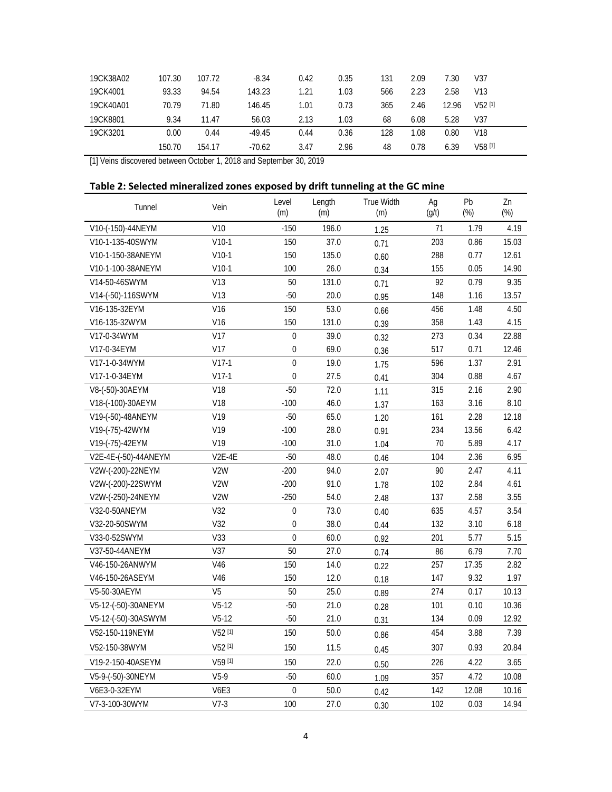| 19CK38A02 | 107.30 | 107.72 | $-8.34$  | 0.42 | 0.35 | 131 | 2.09 | 7.30  | V37       |
|-----------|--------|--------|----------|------|------|-----|------|-------|-----------|
| 19CK4001  | 93.33  | 94.54  | 143.23   | 1.21 | 1.03 | 566 | 2.23 | 2.58  | V13       |
| 19CK40A01 | 70.79  | 71.80  | 146.45   | 1.01 | 0.73 | 365 | 2.46 | 12.96 | $V52$ [1] |
| 19CK8801  | 9.34   | 11.47  | 56.03    | 2.13 | 1.03 | 68  | 6.08 | 5.28  | V37       |
| 19CK3201  | 0.00   | 0.44   | $-49.45$ | 0.44 | 0.36 | 128 | 0.08 | 0.80  | V18       |
|           | 150.70 | 154.17 | $-70.62$ | 3.47 | 2.96 | 48  | 0.78 | 6.39  | V58[1]    |

[1] Veins discovered between October 1, 2018 and September 30, 2019

| Tunnel               | Vein             | Level<br>(m)     | Length<br>(m) | True Width<br>(m) | Ag<br>(g/t) | Pb<br>$(\%)$ | Zn<br>$(\%)$ |
|----------------------|------------------|------------------|---------------|-------------------|-------------|--------------|--------------|
| V10-(-150)-44NEYM    | V10              | $-150$           | 196.0         | 1.25              | 71          | 1.79         | 4.19         |
| V10-1-135-40SWYM     | $V10-1$          | 150              | 37.0          | 0.71              | 203         | 0.86         | 15.03        |
| V10-1-150-38ANEYM    | $V10-1$          | 150              | 135.0         | 0.60              | 288         | 0.77         | 12.61        |
| V10-1-100-38ANEYM    | $V10-1$          | 100              | 26.0          | 0.34              | 155         | 0.05         | 14.90        |
| V14-50-46SWYM        | V13              | 50               | 131.0         | 0.71              | 92          | 0.79         | 9.35         |
| V14-(-50)-116SWYM    | V13              | $-50$            | 20.0          | 0.95              | 148         | 1.16         | 13.57        |
| V16-135-32EYM        | V16              | 150              | 53.0          | 0.66              | 456         | 1.48         | 4.50         |
| V16-135-32WYM        | V16              | 150              | 131.0         | 0.39              | 358         | 1.43         | 4.15         |
| V17-0-34WYM          | V17              | $\boldsymbol{0}$ | 39.0          | 0.32              | 273         | 0.34         | 22.88        |
| V17-0-34EYM          | V17              | $\overline{0}$   | 69.0          | 0.36              | 517         | 0.71         | 12.46        |
| V17-1-0-34WYM        | $V17-1$          | $\overline{0}$   | 19.0          | 1.75              | 596         | 1.37         | 2.91         |
| V17-1-0-34EYM        | $V17-1$          | $\boldsymbol{0}$ | 27.5          | 0.41              | 304         | 0.88         | 4.67         |
| V8-(-50)-30AEYM      | V18              | $-50$            | 72.0          | 1.11              | 315         | 2.16         | 2.90         |
| V18-(-100)-30AEYM    | V18              | $-100$           | 46.0          | 1.37              | 163         | 3.16         | 8.10         |
| V19-(-50)-48ANEYM    | V19              | $-50$            | 65.0          | 1.20              | 161         | 2.28         | 12.18        |
| V19-(-75)-42WYM      | V19              | $-100$           | 28.0          | 0.91              | 234         | 13.56        | 6.42         |
| V19-(-75)-42EYM      | V19              | $-100$           | 31.0          | 1.04              | 70          | 5.89         | 4.17         |
| V2E-4E-(-50)-44ANEYM | $V2E-4E$         | $-50$            | 48.0          | 0.46              | 104         | 2.36         | 6.95         |
| V2W-(-200)-22NEYM    | V <sub>2</sub> W | $-200$           | 94.0          | 2.07              | 90          | 2.47         | 4.11         |
| V2W-(-200)-22SWYM    | V <sub>2</sub> W | $-200$           | 91.0          | 1.78              | 102         | 2.84         | 4.61         |
| V2W-(-250)-24NEYM    | V <sub>2</sub> W | $-250$           | 54.0          | 2.48              | 137         | 2.58         | 3.55         |
| V32-0-50ANEYM        | V32              | $\mathbf 0$      | 73.0          | 0.40              | 635         | 4.57         | 3.54         |
| V32-20-50SWYM        | V32              | 0                | 38.0          | 0.44              | 132         | 3.10         | 6.18         |
| V33-0-52SWYM         | V33              | $\mathbf 0$      | 60.0          | 0.92              | 201         | 5.77         | 5.15         |
| V37-50-44ANEYM       | V37              | 50               | 27.0          | 0.74              | 86          | 6.79         | 7.70         |
| V46-150-26ANWYM      | V46              | 150              | 14.0          | 0.22              | 257         | 17.35        | 2.82         |
| V46-150-26ASEYM      | V46              | 150              | 12.0          | 0.18              | 147         | 9.32         | 1.97         |
| V5-50-30AEYM         | V <sub>5</sub>   | 50               | 25.0          | 0.89              | 274         | 0.17         | 10.13        |
| V5-12-(-50)-30ANEYM  | $V5-12$          | $-50$            | 21.0          | 0.28              | 101         | 0.10         | 10.36        |
| V5-12-(-50)-30ASWYM  | $V5-12$          | $-50$            | 21.0          | 0.31              | 134         | 0.09         | 12.92        |
| V52-150-119NEYM      | V52 [1]          | 150              | 50.0          | 0.86              | 454         | 3.88         | 7.39         |
| V52-150-38WYM        | V52 [1]          | 150              | 11.5          | 0.45              | 307         | 0.93         | 20.84        |
| V19-2-150-40ASEYM    | V59 [1]          | 150              | 22.0          | 0.50              | 226         | 4.22         | $3.65$       |
| V5-9-(-50)-30NEYM    | $V5-9$           | $-50$            | 60.0          | 1.09              | 357         | 4.72         | 10.08        |
| V6E3-0-32EYM         | V6E3             | $\boldsymbol{0}$ | 50.0          | 0.42              | 142         | 12.08        | 10.16        |
| V7-3-100-30WYM       | $V7-3$           | 100              | 27.0          | 0.30              | 102         | 0.03         | 14.94        |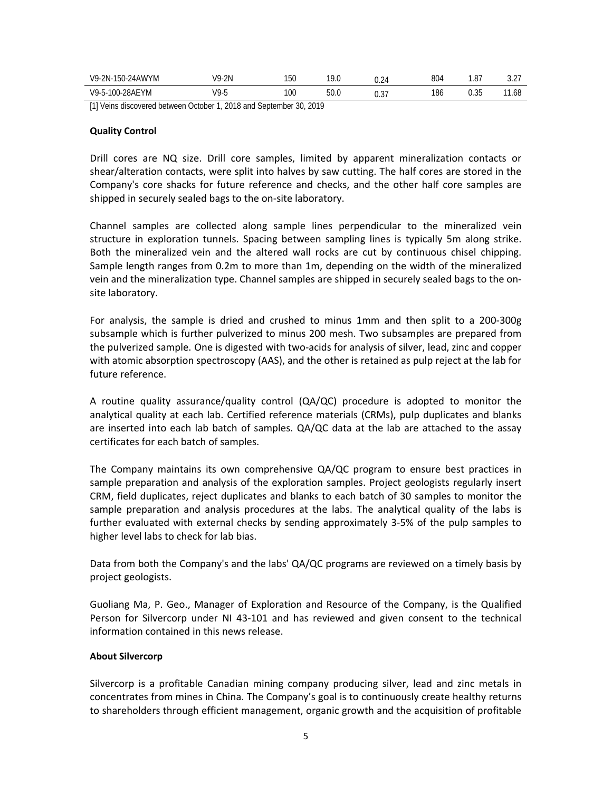| 150-24AWYM<br>2N-<br>$VQ_{-}$     | V9-2N          | $1 - 0$<br>,5U | 10 $\cap$<br>$\overline{\phantom{a}}$ | $\sim$ $\sim$<br>V.Z4   | 804 | l.87       | 0.07<br>J.L. |
|-----------------------------------|----------------|----------------|---------------------------------------|-------------------------|-----|------------|--------------|
| 100-28AEYM<br>$V9 - 5 - 1$<br>٠., | $'$ /Q_<br>7 U | 100            | 50.0                                  | $\sim$ $\sim$<br>، ن. ن | 186 | 2F<br>u.ju | 111<br>1.68  |

[1] Veins discovered between October 1, 2018 and September 30, 2019

## **Quality Control**

Drill cores are NQ size. Drill core samples, limited by apparent mineralization contacts or shear/alteration contacts, were split into halves by saw cutting. The half cores are stored in the Company's core shacks for future reference and checks, and the other half core samples are shipped in securely sealed bags to the on‐site laboratory.

Channel samples are collected along sample lines perpendicular to the mineralized vein structure in exploration tunnels. Spacing between sampling lines is typically 5m along strike. Both the mineralized vein and the altered wall rocks are cut by continuous chisel chipping. Sample length ranges from 0.2m to more than 1m, depending on the width of the mineralized vein and the mineralization type. Channel samples are shipped in securely sealed bags to the on‐ site laboratory.

For analysis, the sample is dried and crushed to minus 1mm and then split to a 200‐300g subsample which is further pulverized to minus 200 mesh. Two subsamples are prepared from the pulverized sample. One is digested with two-acids for analysis of silver, lead, zinc and copper with atomic absorption spectroscopy (AAS), and the other is retained as pulp reject at the lab for future reference.

A routine quality assurance/quality control (QA/QC) procedure is adopted to monitor the analytical quality at each lab. Certified reference materials (CRMs), pulp duplicates and blanks are inserted into each lab batch of samples. QA/QC data at the lab are attached to the assay certificates for each batch of samples.

The Company maintains its own comprehensive QA/QC program to ensure best practices in sample preparation and analysis of the exploration samples. Project geologists regularly insert CRM, field duplicates, reject duplicates and blanks to each batch of 30 samples to monitor the sample preparation and analysis procedures at the labs. The analytical quality of the labs is further evaluated with external checks by sending approximately 3-5% of the pulp samples to higher level labs to check for lab bias.

Data from both the Company's and the labs' QA/QC programs are reviewed on a timely basis by project geologists.

Guoliang Ma, P. Geo., Manager of Exploration and Resource of the Company, is the Qualified Person for Silvercorp under NI 43-101 and has reviewed and given consent to the technical information contained in this news release.

# **About Silvercorp**

Silvercorp is a profitable Canadian mining company producing silver, lead and zinc metals in concentrates from mines in China. The Company's goal is to continuously create healthy returns to shareholders through efficient management, organic growth and the acquisition of profitable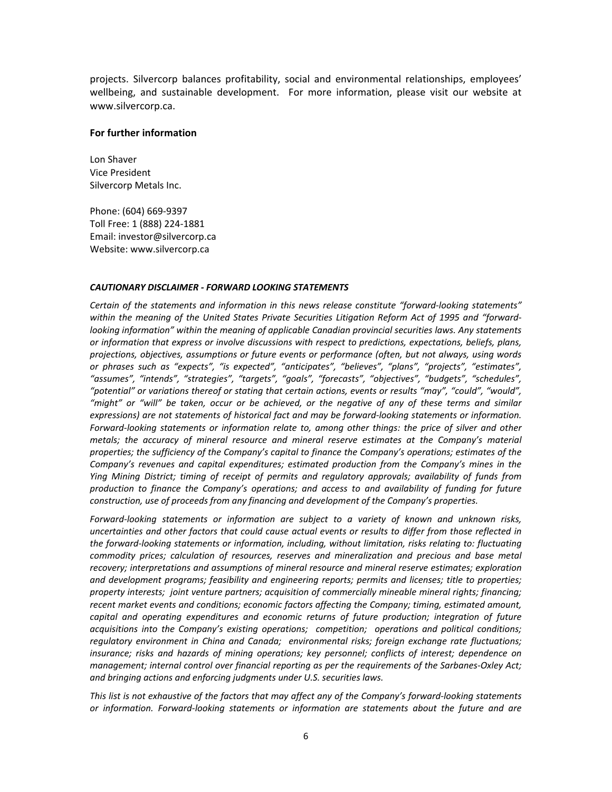projects. Silvercorp balances profitability, social and environmental relationships, employees' wellbeing, and sustainable development. For more information, please visit our website at www.silvercorp.ca.

### **For further information**

Lon Shaver Vice President Silvercorp Metals Inc.

Phone: (604) 669‐9397 Toll Free: 1 (888) 224‐1881 Email: investor@silvercorp.ca Website: www.silvercorp.ca

### *CAUTIONARY DISCLAIMER ‐ FORWARD LOOKING STATEMENTS*

*Certain of the statements and information in this news release constitute "forward‐looking statements" within the meaning of the United States Private Securities Litigation Reform Act of 1995 and "forward‐ looking information" within the meaning of applicable Canadian provincial securities laws. Any statements or information that express or involve discussions with respect to predictions, expectations, beliefs, plans, projections, objectives, assumptions or future events or performance (often, but not always, using words or phrases such as "expects", "is expected", "anticipates", "believes", "plans", "projects", "estimates", "assumes", "intends", "strategies", "targets", "goals", "forecasts", "objectives", "budgets", "schedules", "potential" or variations thereof or stating that certain actions, events or results "may", "could", "would", "might" or "will" be taken, occur or be achieved, or the negative of any of these terms and similar expressions) are not statements of historical fact and may be forward‐looking statements or information. Forward‐looking statements or information relate to, among other things: the price of silver and other metals; the accuracy of mineral resource and mineral reserve estimates at the Company's material properties; the sufficiency of the Company's capital to finance the Company's operations; estimates of the Company's revenues and capital expenditures; estimated production from the Company's mines in the Ying Mining District; timing of receipt of permits and regulatory approvals; availability of funds from production to finance the Company's operations; and access to and availability of funding for future construction, use of proceeds from any financing and development of the Company's properties.* 

*Forward‐looking statements or information are subject to a variety of known and unknown risks, uncertainties and other factors that could cause actual events or results to differ from those reflected in the forward‐looking statements or information, including, without limitation, risks relating to: fluctuating commodity prices; calculation of resources, reserves and mineralization and precious and base metal recovery; interpretations and assumptions of mineral resource and mineral reserve estimates; exploration and development programs; feasibility and engineering reports; permits and licenses; title to properties; property interests; joint venture partners; acquisition of commercially mineable mineral rights; financing; recent market events and conditions; economic factors affecting the Company; timing, estimated amount, capital and operating expenditures and economic returns of future production; integration of future acquisitions into the Company's existing operations; competition; operations and political conditions; regulatory environment in China and Canada; environmental risks; foreign exchange rate fluctuations; insurance; risks and hazards of mining operations; key personnel; conflicts of interest; dependence on management; internal control over financial reporting as per the requirements of the Sarbanes‐Oxley Act; and bringing actions and enforcing judgments under U.S. securities laws.* 

*This list is not exhaustive of the factors that may affect any of the Company's forward‐looking statements or information. Forward‐looking statements or information are statements about the future and are*